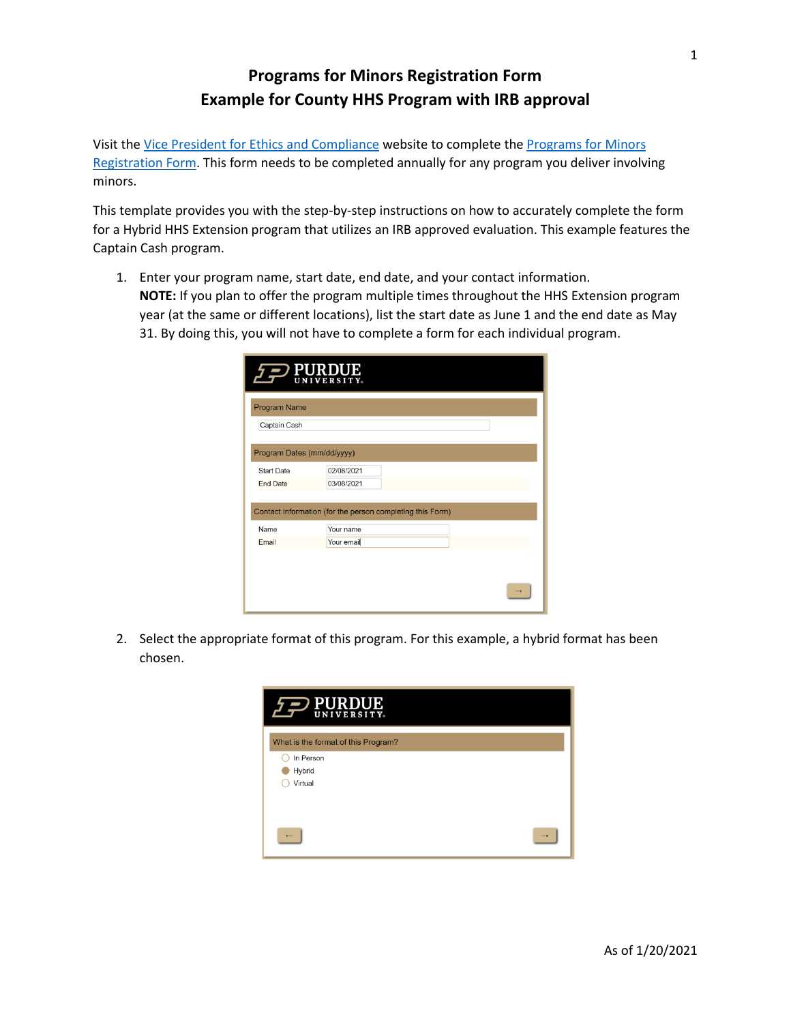## **Programs for Minors Registration Form Example for County HHS Program with IRB approval**

Visit the [Vice President for Ethics and Compliance](https://www.purdue.edu/ethics/resources/programs-involving-minors.php) website to complete the [Programs for Minors](https://purdue.ca1.qualtrics.com/jfe/form/SV_9oj3TGyyWiVDnsF?_ga=2.96039390.315749223.1601472963-258603749.1571229914)  [Registration Form.](https://purdue.ca1.qualtrics.com/jfe/form/SV_9oj3TGyyWiVDnsF?_ga=2.96039390.315749223.1601472963-258603749.1571229914) This form needs to be completed annually for any program you deliver involving minors.

This template provides you with the step-by-step instructions on how to accurately complete the form for a Hybrid HHS Extension program that utilizes an IRB approved evaluation. This example features the Captain Cash program.

1. Enter your program name, start date, end date, and your contact information. **NOTE:** If you plan to offer the program multiple times throughout the HHS Extension program year (at the same or different locations), list the start date as June 1 and the end date as May 31. By doing this, you will not have to complete a form for each individual program.

|                            | PURDUE                                                                 |
|----------------------------|------------------------------------------------------------------------|
| Program Name               |                                                                        |
| Captain Cash               |                                                                        |
| Program Dates (mm/dd/yyyy) |                                                                        |
| Start Date                 | 02/08/2021                                                             |
| <b>End Date</b>            | 03/08/2021                                                             |
| Name                       | Contact Information (for the person completing this Form)<br>Your name |
| Email                      | Your email                                                             |
|                            |                                                                        |
|                            |                                                                        |
|                            |                                                                        |

2. Select the appropriate format of this program. For this example, a hybrid format has been chosen.

| PURDUE<br>$\overline{P}$            |               |
|-------------------------------------|---------------|
| What is the format of this Program? |               |
| In Person                           |               |
| <b>Hybrid</b>                       |               |
| Virtual                             |               |
|                                     |               |
|                                     |               |
|                                     | $\rightarrow$ |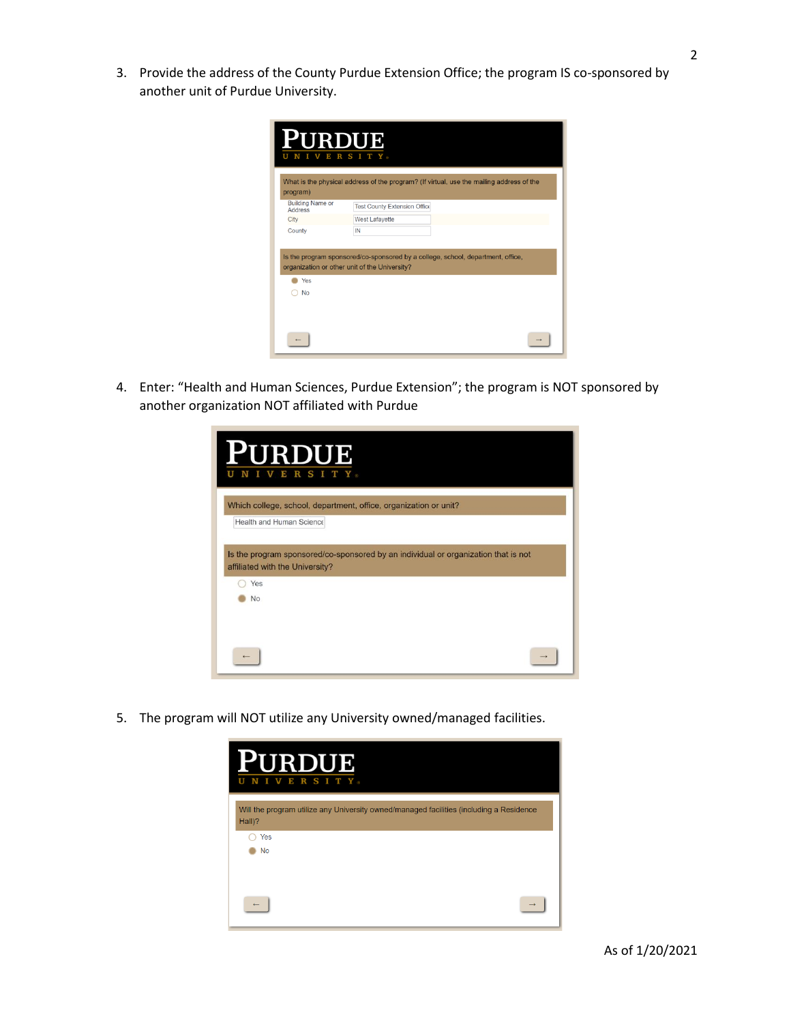3. Provide the address of the County Purdue Extension Office; the program IS co-sponsored by another unit of Purdue University.

| <b>PURDUE</b>                       | <b>VERSITY</b><br>What is the physical address of the program? (If virtual, use the mailing address of the                       |
|-------------------------------------|----------------------------------------------------------------------------------------------------------------------------------|
| program)<br><b>Building Name or</b> |                                                                                                                                  |
| <b>Address</b>                      | <b>Test County Extension Office</b>                                                                                              |
| City                                | <b>West Lafayette</b>                                                                                                            |
| County                              | IN                                                                                                                               |
|                                     | Is the program sponsored/co-sponsored by a college, school, department, office,<br>organization or other unit of the University? |
| Yes                                 |                                                                                                                                  |
| <b>No</b>                           |                                                                                                                                  |
|                                     |                                                                                                                                  |

4. Enter: "Health and Human Sciences, Purdue Extension"; the program is NOT sponsored by another organization NOT affiliated with Purdue

| <b>PURDUE</b><br>S<br>R<br>н                                                                                          |  |
|-----------------------------------------------------------------------------------------------------------------------|--|
| Which college, school, department, office, organization or unit?<br>Health and Human Science                          |  |
| Is the program sponsored/co-sponsored by an individual or organization that is not<br>affiliated with the University? |  |
| Yes<br>No                                                                                                             |  |
|                                                                                                                       |  |

5. The program will NOT utilize any University owned/managed facilities.

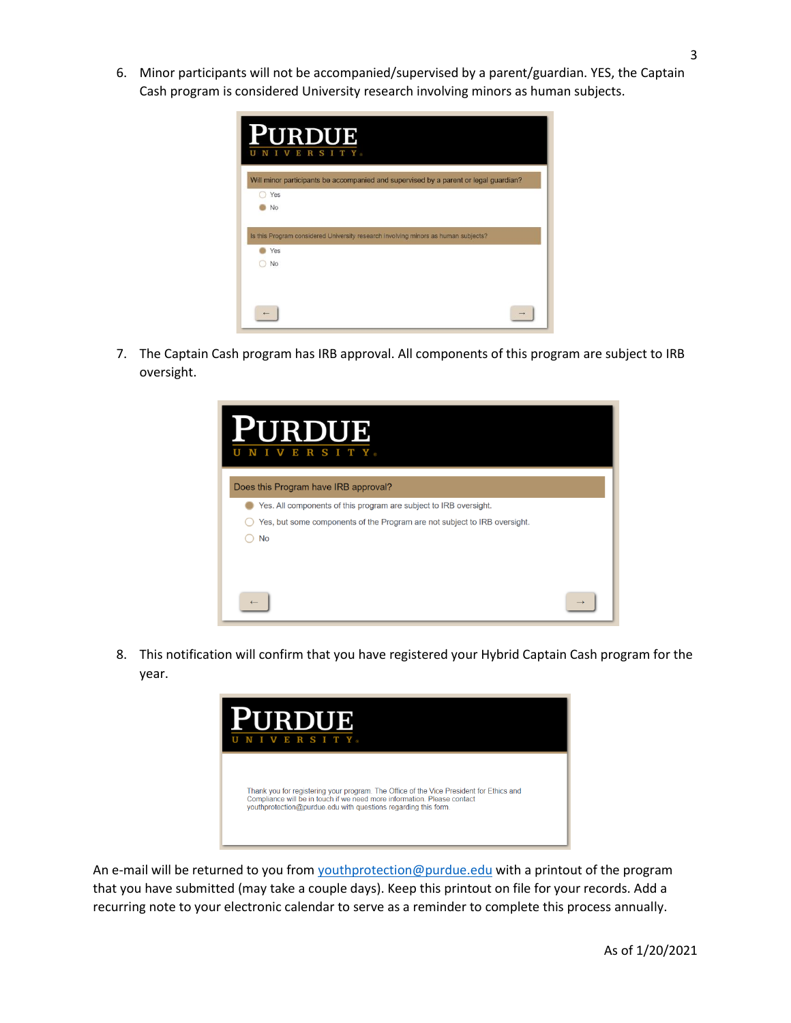6. Minor participants will not be accompanied/supervised by a parent/guardian. YES, the Captain Cash program is considered University research involving minors as human subjects.

| <b>URDUE</b><br>RSITY.<br>E                                                          |  |
|--------------------------------------------------------------------------------------|--|
| Will minor participants be accompanied and supervised by a parent or legal guardian? |  |
| Yes                                                                                  |  |
| <b>No</b>                                                                            |  |
| Is this Program considered University research involving minors as human subjects?   |  |
| Yes                                                                                  |  |
| No                                                                                   |  |
|                                                                                      |  |

7. The Captain Cash program has IRB approval. All components of this program are subject to IRB oversight.



8. This notification will confirm that you have registered your Hybrid Captain Cash program for the year.



An e-mail will be returned to you from [youthprotection@purdue.edu](mailto:youthprotection@purdue.edu) with a printout of the program that you have submitted (may take a couple days). Keep this printout on file for your records. Add a recurring note to your electronic calendar to serve as a reminder to complete this process annually.